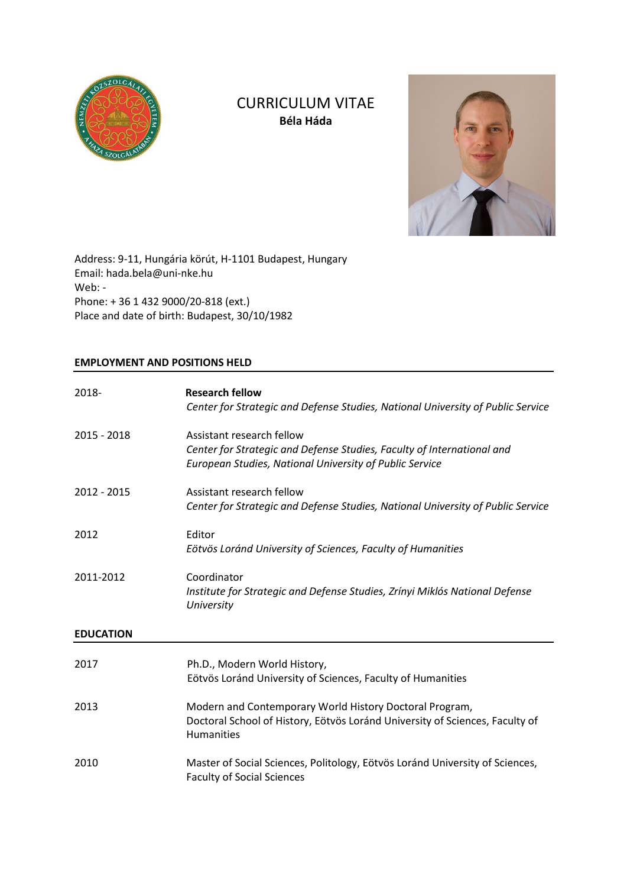

# CURRICULUM VITAE **Béla Háda**



Address: 9-11, Hungária körút, H-1101 Budapest, Hungary Email: hada.bela@uni-nke.hu Web: - Phone: + 36 1 432 9000/20-818 (ext.) Place and date of birth: Budapest, 30/10/1982

# **EMPLOYMENT AND POSITIONS HELD**

| 2018-            | <b>Research fellow</b><br>Center for Strategic and Defense Studies, National University of Public Service                                                      |  |
|------------------|----------------------------------------------------------------------------------------------------------------------------------------------------------------|--|
| 2015 - 2018      | Assistant research fellow<br>Center for Strategic and Defense Studies, Faculty of International and<br>European Studies, National University of Public Service |  |
| 2012 - 2015      | Assistant research fellow<br>Center for Strategic and Defense Studies, National University of Public Service                                                   |  |
| 2012             | Editor<br>Eötvös Loránd University of Sciences, Faculty of Humanities                                                                                          |  |
| 2011-2012        | Coordinator<br>Institute for Strategic and Defense Studies, Zrínyi Miklós National Defense<br>University                                                       |  |
| <b>EDUCATION</b> |                                                                                                                                                                |  |
| 2017             | Ph.D., Modern World History,<br>Eötvös Loránd University of Sciences, Faculty of Humanities                                                                    |  |
| 2013             | Modern and Contemporary World History Doctoral Program,<br>Doctoral School of History, Eötvös Loránd University of Sciences, Faculty of<br>Humanities          |  |
| 2010             | Master of Social Sciences, Politology, Eötvös Loránd University of Sciences,<br><b>Faculty of Social Sciences</b>                                              |  |